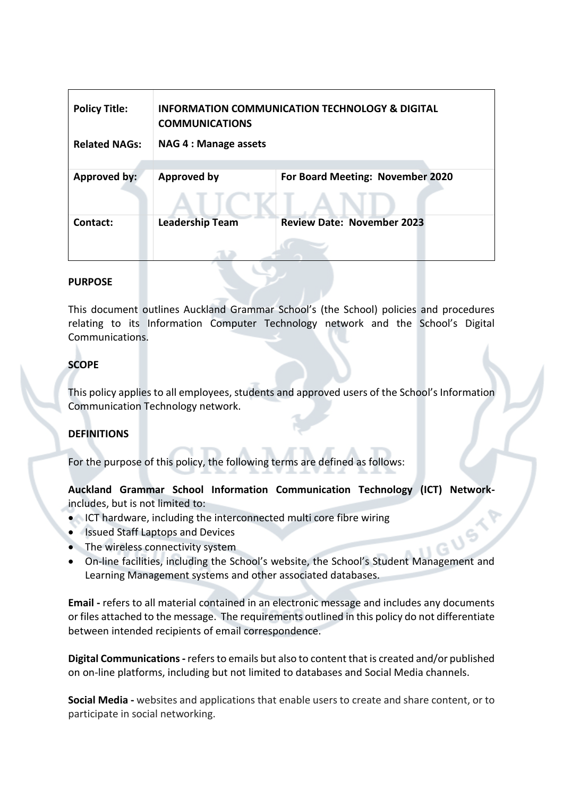| <b>Policy Title:</b><br><b>Related NAGs:</b> | <b>INFORMATION COMMUNICATION TECHNOLOGY &amp; DIGITAL</b><br><b>COMMUNICATIONS</b><br><b>NAG 4 : Manage assets</b> |                                   |
|----------------------------------------------|--------------------------------------------------------------------------------------------------------------------|-----------------------------------|
| Approved by:                                 | <b>Approved by</b>                                                                                                 | For Board Meeting: November 2020  |
| Contact:                                     | <b>Leadership Team</b>                                                                                             | <b>Review Date: November 2023</b> |

#### **PURPOSE**

This document outlines Auckland Grammar School's (the School) policies and procedures relating to its Information Computer Technology network and the School's Digital Communications.

# **SCOPE**

This policy applies to all employees, students and approved users of the School's Information Communication Technology network.

## **DEFINITIONS**

For the purpose of this policy, the following terms are defined as follows:

**Auckland Grammar School Information Communication Technology (ICT) Network**includes, but is not limited to:

- ICT hardware, including the interconnected multi core fibre wiring
- Issued Staff Laptops and Devices
- The wireless connectivity system
- On-line facilities, including the School's website, the School's Student Management and Learning Management systems and other associated databases.

**Email -** refers to all material contained in an electronic message and includes any documents or files attached to the message. The requirements outlined in this policy do not differentiate between intended recipients of email correspondence.

**Digital Communications-** refers to emails but also to content that is created and/or published on on-line platforms, including but not limited to databases and Social Media channels.

**Social Media -** websites and applications that enable users to create and share content, or to participate in social networking.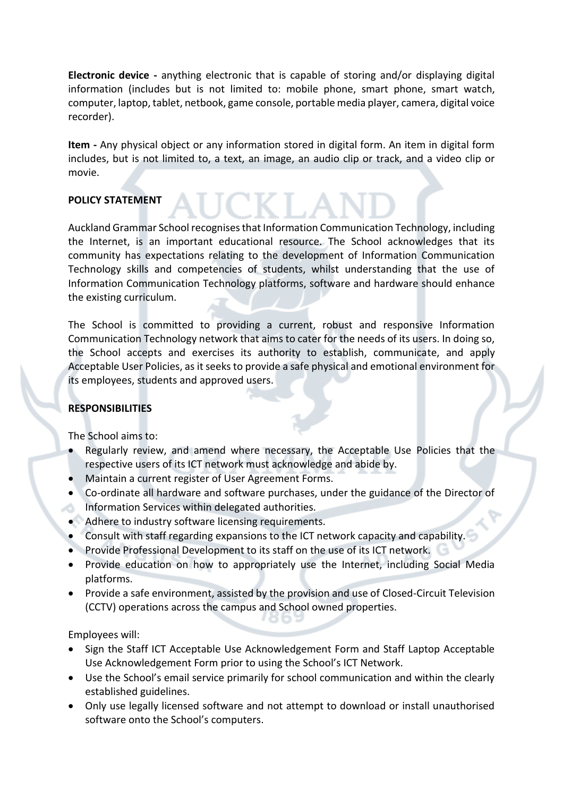**Electronic device -** anything electronic that is capable of storing and/or displaying digital information (includes but is not limited to: mobile phone, smart phone, smart watch, computer, laptop, tablet, netbook, game console, portable media player, camera, digital voice recorder).

**Item -** Any physical object or any information stored in digital form. An item in digital form includes, but is not limited to, a text, an image, an audio clip or track, and a video clip or movie.

# **POLICY STATEMENT**

Auckland Grammar School recognises that Information Communication Technology, including the Internet, is an important educational resource. The School acknowledges that its community has expectations relating to the development of Information Communication Technology skills and competencies of students, whilst understanding that the use of Information Communication Technology platforms, software and hardware should enhance the existing curriculum.

The School is committed to providing a current, robust and responsive Information Communication Technology network that aims to cater for the needs of its users. In doing so, the School accepts and exercises its authority to establish, communicate, and apply Acceptable User Policies, as it seeks to provide a safe physical and emotional environment for its employees, students and approved users.

## **RESPONSIBILITIES**

The School aims to:

- Regularly review, and amend where necessary, the Acceptable Use Policies that the respective users of its ICT network must acknowledge and abide by.
- Maintain a current register of User Agreement Forms.
- Co-ordinate all hardware and software purchases, under the guidance of the Director of Information Services within delegated authorities.
- Adhere to industry software licensing requirements.
- Consult with staff regarding expansions to the ICT network capacity and capability.
- Provide Professional Development to its staff on the use of its ICT network.
- Provide education on how to appropriately use the Internet, including Social Media platforms.
- Provide a safe environment, assisted by the provision and use of Closed-Circuit Television (CCTV) operations across the campus and School owned properties.

Employees will:

- Sign the Staff ICT Acceptable Use Acknowledgement Form and Staff Laptop Acceptable Use Acknowledgement Form prior to using the School's ICT Network.
- Use the School's email service primarily for school communication and within the clearly established guidelines.
- Only use legally licensed software and not attempt to download or install unauthorised software onto the School's computers.